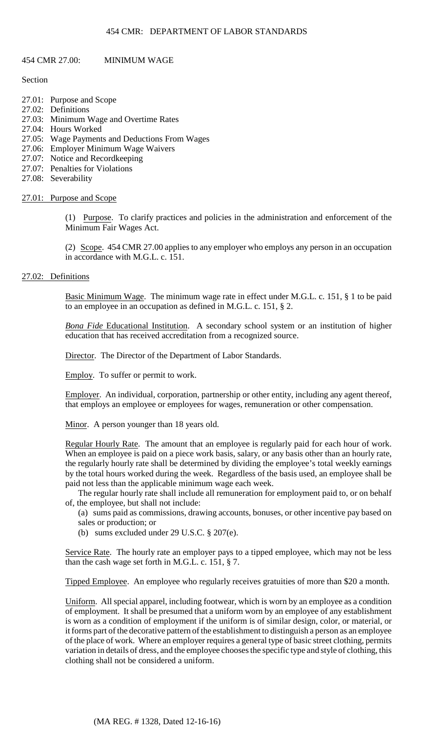## 454 CMR: DEPARTMENT OF LABOR STANDARDS

## 454 CMR 27.00: MINIMUM WAGE

## Section

- 27.01: Purpose and Scope
- 27.02: Definitions
- 27.03: Minimum Wage and Overtime Rates
- 27.04: Hours Worked
- 27.05: Wage Payments and Deductions From Wages
- 27.06: Employer Minimum Wage Waivers
- 27.07: Notice and Recordkeeping
- 27.07: Penalties for Violations
- 27.08: Severability

# 27.01: Purpose and Scope

(1) Purpose. To clarify practices and policies in the administration and enforcement of the Minimum Fair Wages Act.

(2) Scope. 454 CMR 27.00 applies to any employer who employs any person in an occupation in accordance with M.G.L. c. 151.

# 27.02: Definitions

Basic Minimum Wage. The minimum wage rate in effect under M.G.L. c. 151, § 1 to be paid to an employee in an occupation as defined in M.G.L. c. 151, § 2.

*Bona Fide* Educational Institution. A secondary school system or an institution of higher education that has received accreditation from a recognized source.

Director. The Director of the Department of Labor Standards.

Employ. To suffer or permit to work.

Employer. An individual, corporation, partnership or other entity, including any agent thereof, that employs an employee or employees for wages, remuneration or other compensation.

Minor. A person younger than 18 years old.

Regular Hourly Rate. The amount that an employee is regularly paid for each hour of work. When an employee is paid on a piece work basis, salary, or any basis other than an hourly rate, the regularly hourly rate shall be determined by dividing the employee's total weekly earnings by the total hours worked during the week. Regardless of the basis used, an employee shall be paid not less than the applicable minimum wage each week.

The regular hourly rate shall include all remuneration for employment paid to, or on behalf of, the employee, but shall not include:

- (a) sums paid as commissions, drawing accounts, bonuses, or other incentive pay based on sales or production; or
- (b) sums excluded under 29 U.S.C. § 207(e).

Service Rate. The hourly rate an employer pays to a tipped employee, which may not be less than the cash wage set forth in M.G.L. c. 151, § 7.

Tipped Employee. An employee who regularly receives gratuities of more than \$20 a month.

 variation in details of dress, and the employee chooses the specific type and style of clothing, this Uniform. All special apparel, including footwear, which is worn by an employee as a condition of employment. It shall be presumed that a uniform worn by an employee of any establishment is worn as a condition of employment if the uniform is of similar design, color, or material, or it forms part of the decorative pattern of the establishment to distinguish a person as an employee of the place of work. Where an employer requires a general type of basic street clothing, permits clothing shall not be considered a uniform.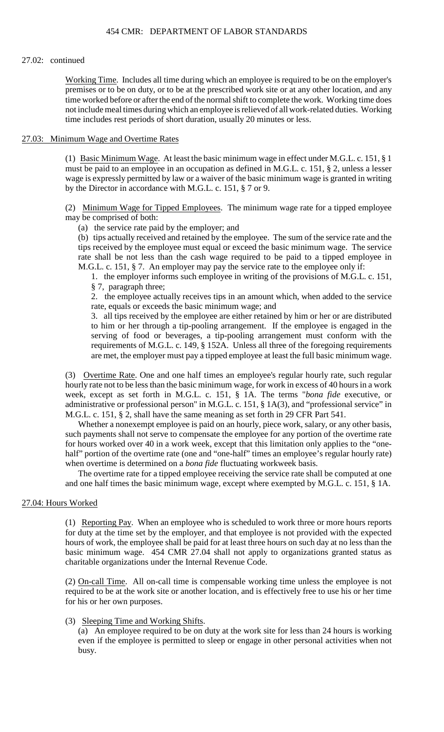#### 27.02: continued

Working Time. Includes all time during which an employee is required to be on the employer's premises or to be on duty, or to be at the prescribed work site or at any other location, and any time worked before or after the end of the normal shift to complete the work. Working time does not include meal times during which an employee is relieved of all work-related duties. Working time includes rest periods of short duration, usually 20 minutes or less.

## 27.03: Minimum Wage and Overtime Rates

(1) Basic Minimum Wage. At least the basic minimum wage in effect under M.G.L. c. 151, § 1 must be paid to an employee in an occupation as defined in M.G.L. c. 151, § 2, unless a lesser wage is expressly permitted by law or a waiver of the basic minimum wage is granted in writing by the Director in accordance with M.G.L. c. 151, § 7 or 9.

(2) Minimum Wage for Tipped Employees. The minimum wage rate for a tipped employee may be comprised of both:

(a) the service rate paid by the employer; and

(b) tips actually received and retained by the employee. The sum of the service rate and the tips received by the employee must equal or exceed the basic minimum wage. The service rate shall be not less than the cash wage required to be paid to a tipped employee in M.G.L. c. 151, § 7. An employer may pay the service rate to the employee only if:

1. the employer informs such employee in writing of the provisions of M.G.L. c. 151, § 7, paragraph three;

2. the employee actually receives tips in an amount which, when added to the service rate, equals or exceeds the basic minimum wage; and

 requirements of M.G.L. c. 149, § 152A. Unless all three of the foregoing requirements 3. all tips received by the employee are either retained by him or her or are distributed to him or her through a tip-pooling arrangement. If the employee is engaged in the serving of food or beverages, a tip-pooling arrangement must conform with the are met, the employer must pay a tipped employee at least the full basic minimum wage.

(3) Overtime Rate. One and one half times an employee's regular hourly rate, such regular hourly rate not to be less than the basic minimum wage, for work in excess of 40 hours in a work week, except as set forth in M.G.L. c. 151, § 1A. The terms "*bona fide* executive, or administrative or professional person" in M.G.L. c. 151, § 1A(3), and "professional service" in M.G.L. c. 151, § 2, shall have the same meaning as set forth in 29 CFR Part 541.

 such payments shall not serve to compensate the employee for any portion of the overtime rate for hours worked over 40 in a work week, except that this limitation only applies to the "one-Whether a nonexempt employee is paid on an hourly, piece work, salary, or any other basis, half" portion of the overtime rate (one and "one-half" times an employee's regular hourly rate) when overtime is determined on a *bona fide* fluctuating workweek basis.

The overtime rate for a tipped employee receiving the service rate shall be computed at one and one half times the basic minimum wage, except where exempted by M.G.L. c. 151, § 1A.

#### 27.04: Hours Worked

(1) Reporting Pay. When an employee who is scheduled to work three or more hours reports for duty at the time set by the employer, and that employee is not provided with the expected hours of work, the employee shall be paid for at least three hours on such day at no less than the basic minimum wage. 454 CMR 27.04 shall not apply to organizations granted status as charitable organizations under the Internal Revenue Code.

(2) On-call Time. All on-call time is compensable working time unless the employee is not required to be at the work site or another location, and is effectively free to use his or her time for his or her own purposes.

## (3) Sleeping Time and Working Shifts.

 (a) An employee required to be on duty at the work site for less than 24 hours is working even if the employee is permitted to sleep or engage in other personal activities when not busy.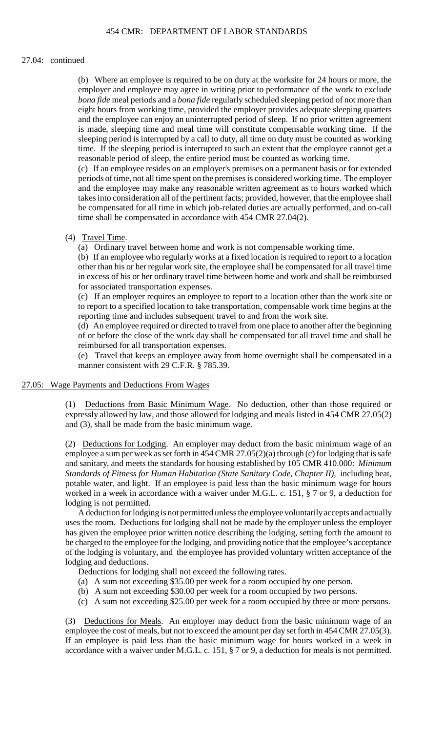#### 27.04: continued

 *bona fide* meal periods and a *bona fide* regularly scheduled sleeping period of not more than (b) Where an employee is required to be on duty at the worksite for 24 hours or more, the employer and employee may agree in writing prior to performance of the work to exclude eight hours from working time, provided the employer provides adequate sleeping quarters and the employee can enjoy an uninterrupted period of sleep. If no prior written agreement is made, sleeping time and meal time will constitute compensable working time. If the sleeping period is interrupted by a call to duty, all time on duty must be counted as working time. If the sleeping period is interrupted to such an extent that the employee cannot get a reasonable period of sleep, the entire period must be counted as working time.

 (c) If an employee resides on an employer's premises on a permanent basis or for extended and the employee may make any reasonable written agreement as to hours worked which takes into consideration all of the pertinent facts; provided, however, that the employee shall be compensated for all time in which job-related duties are actually performed, and on-call periods of time, not all time spent on the premises is considered working time. The employer time shall be compensated in accordance with 454 CMR 27.04(2).

(4) Travel Time.

(a) Ordinary travel between home and work is not compensable working time.

(b) If an employee who regularly works at a fixed location is required to report to a location other than his or her regular work site, the employee shall be compensated for all travel time in excess of his or her ordinary travel time between home and work and shall be reimbursed for associated transportation expenses.

(c) If an employer requires an employee to report to a location other than the work site or to report to a specified location to take transportation, compensable work time begins at the reporting time and includes subsequent travel to and from the work site.

(d) An employee required or directed to travel from one place to another after the beginning of or before the close of the work day shall be compensated for all travel time and shall be reimbursed for all transportation expenses.

 (e) Travel that keeps an employee away from home overnight shall be compensated in a manner consistent with 29 C.F.R. § 785.39.

#### 27.05: Wage Payments and Deductions From Wages

 (1) Deductions from Basic Minimum Wage. No deduction, other than those required or expressly allowed by law, and those allowed for lodging and meals listed in 454 CMR 27.05(2) and (3), shall be made from the basic minimum wage.

(2) Deductions for Lodging. An employer may deduct from the basic minimum wage of an employee a sum per week as set forth in 454 CMR 27.05(2)(a) through (c) for lodging that is safe and sanitary, and meets the standards for housing established by 105 CMR 410.000: *Minimum Standards of Fitness for Human Habitation (State Sanitary Code, Chapter II)*, including heat, potable water, and light. If an employee is paid less than the basic minimum wage for hours worked in a week in accordance with a waiver under M.G.L. c. 151, § 7 or 9, a deduction for lodging is not permitted.

 has given the employee prior written notice describing the lodging, setting forth the amount to A deduction for lodging is not permitted unless the employee voluntarily accepts and actually uses the room. Deductions for lodging shall not be made by the employer unless the employer be charged to the employee for the lodging, and providing notice that the employee's acceptance of the lodging is voluntary, and the employee has provided voluntary written acceptance of the lodging and deductions.

Deductions for lodging shall not exceed the following rates.

- (a) A sum not exceeding \$35.00 per week for a room occupied by one person.
- (b) A sum not exceeding \$30.00 per week for a room occupied by two persons.
- (c) A sum not exceeding \$25.00 per week for a room occupied by three or more persons.

(3) Deductions for Meals. An employer may deduct from the basic minimum wage of an employee the cost of meals, but not to exceed the amount per day set forth in 454 CMR 27.05(3). If an employee is paid less than the basic minimum wage for hours worked in a week in accordance with a waiver under M.G.L. c. 151, § 7 or 9, a deduction for meals is not permitted.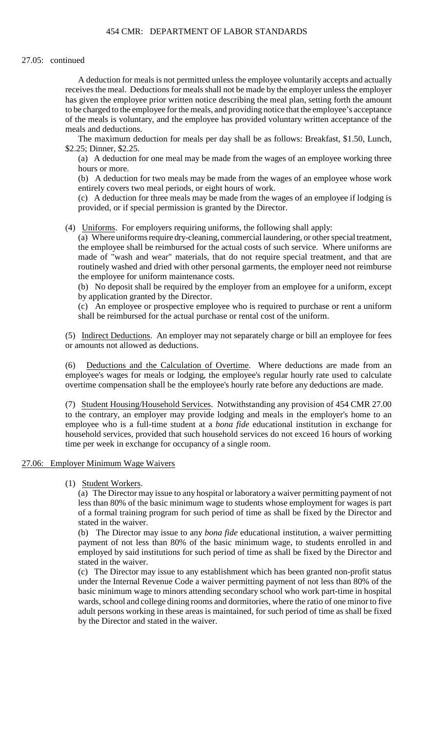## 454 CMR: DEPARTMENT OF LABOR STANDARDS

#### 27.05: continued

 A deduction for meals is not permitted unless the employee voluntarily accepts and actually receives the meal. Deductions for meals shall not be made by the employer unless the employer has given the employee prior written notice describing the meal plan, setting forth the amount to be charged to the employee for the meals, and providing notice that the employee's acceptance of the meals is voluntary, and the employee has provided voluntary written acceptance of the meals and deductions.

The maximum deduction for meals per day shall be as follows: Breakfast, \$1.50, Lunch, \$2.25; Dinner, \$2.25.

(a) A deduction for one meal may be made from the wages of an employee working three hours or more.

(b) A deduction for two meals may be made from the wages of an employee whose work entirely covers two meal periods, or eight hours of work.

 (c) A deduction for three meals may be made from the wages of an employee if lodging is provided, or if special permission is granted by the Director.

(4) Uniforms. For employers requiring uniforms, the following shall apply:

(a) Where uniforms require dry-cleaning, commercial laundering, or other special treatment, the employee shall be reimbursed for the actual costs of such service. Where uniforms are made of "wash and wear" materials, that do not require special treatment, and that are routinely washed and dried with other personal garments, the employer need not reimburse the employee for uniform maintenance costs.

(b) No deposit shall be required by the employer from an employee for a uniform, except by application granted by the Director.

(c) An employee or prospective employee who is required to purchase or rent a uniform shall be reimbursed for the actual purchase or rental cost of the uniform.

(5) Indirect Deductions. An employer may not separately charge or bill an employee for fees or amounts not allowed as deductions.

 employee's wages for meals or lodging, the employee's regular hourly rate used to calculate (6) Deductions and the Calculation of Overtime. Where deductions are made from an overtime compensation shall be the employee's hourly rate before any deductions are made.

 to the contrary, an employer may provide lodging and meals in the employer's home to an (7) Student Housing/Household Services. Notwithstanding any provision of 454 CMR 27.00 employee who is a full-time student at a *bona fide* educational institution in exchange for household services, provided that such household services do not exceed 16 hours of working time per week in exchange for occupancy of a single room.

## 27.06: Employer Minimum Wage Waivers

## (1) Student Workers.

 (a) The Director may issue to any hospital or laboratory a waiver permitting payment of not less than 80% of the basic minimum wage to students whose employment for wages is part of a formal training program for such period of time as shall be fixed by the Director and stated in the waiver.

(b) The Director may issue to any *bona fide* educational institution, a waiver permitting payment of not less than 80% of the basic minimum wage, to students enrolled in and employed by said institutions for such period of time as shall be fixed by the Director and stated in the waiver.

(c) The Director may issue to any establishment which has been granted non-profit status under the Internal Revenue Code a waiver permitting payment of not less than 80% of the basic minimum wage to minors attending secondary school who work part-time in hospital wards, school and college dining rooms and dormitories, where the ratio of one minor to five adult persons working in these areas is maintained, for such period of time as shall be fixed by the Director and stated in the waiver.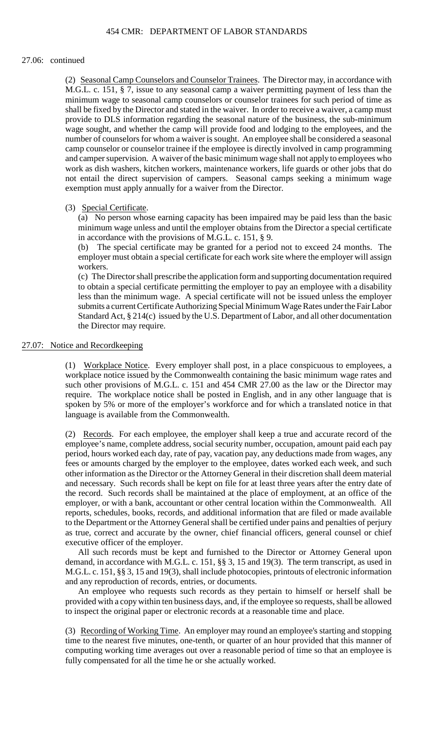#### 27.06: continued

 (2) Seasonal Camp Counselors and Counselor Trainees. The Director may, in accordance with shall be fixed by the Director and stated in the waiver. In order to receive a waiver, a camp must M.G.L. c. 151, § 7, issue to any seasonal camp a waiver permitting payment of less than the minimum wage to seasonal camp counselors or counselor trainees for such period of time as provide to DLS information regarding the seasonal nature of the business, the sub-minimum wage sought, and whether the camp will provide food and lodging to the employees, and the number of counselors for whom a waiver is sought. An employee shall be considered a seasonal camp counselor or counselor trainee if the employee is directly involved in camp programming and camper supervision. A waiver of the basic minimum wage shall not apply to employees who work as dish washers, kitchen workers, maintenance workers, life guards or other jobs that do not entail the direct supervision of campers. Seasonal camps seeking a minimum wage exemption must apply annually for a waiver from the Director.

### (3) Special Certificate.

(a) No person whose earning capacity has been impaired may be paid less than the basic minimum wage unless and until the employer obtains from the Director a special certificate in accordance with the provisions of M.G.L. c. 151, § 9.

 (b) The special certificate may be granted for a period not to exceed 24 months. The employer must obtain a special certificate for each work site where the employer will assign workers.

 Standard Act, § 214(c) issued by the U.S. Department of Labor, and all other documentation (c) The Director shall prescribe the application form and supporting documentation required to obtain a special certificate permitting the employer to pay an employee with a disability less than the minimum wage. A special certificate will not be issued unless the employer submits a current Certificate Authorizing Special Minimum Wage Rates under the Fair Labor the Director may require.

### 27.07: Notice and Recordkeeping

(1) Workplace Notice. Every employer shall post, in a place conspicuous to employees, a workplace notice issued by the Commonwealth containing the basic minimum wage rates and such other provisions of M.G.L. c. 151 and 454 CMR 27.00 as the law or the Director may require. The workplace notice shall be posted in English, and in any other language that is spoken by 5% or more of the employer's workforce and for which a translated notice in that language is available from the Commonwealth.

 employer, or with a bank, accountant or other central location within the Commonwealth. All (2) Records. For each employee, the employer shall keep a true and accurate record of the employee's name, complete address, social security number, occupation, amount paid each pay period, hours worked each day, rate of pay, vacation pay, any deductions made from wages, any fees or amounts charged by the employer to the employee, dates worked each week, and such other information as the Director or the Attorney General in their discretion shall deem material and necessary. Such records shall be kept on file for at least three years after the entry date of the record. Such records shall be maintained at the place of employment, at an office of the reports, schedules, books, records, and additional information that are filed or made available to the Department or the Attorney General shall be certified under pains and penalties of perjury as true, correct and accurate by the owner, chief financial officers, general counsel or chief executive officer of the employer.

 demand, in accordance with M.G.L. c. 151, §§ 3, 15 and 19(3). The term transcript, as used in All such records must be kept and furnished to the Director or Attorney General upon M.G.L. c. 151, §§ 3, 15 and 19(3), shall include photocopies, printouts of electronic information and any reproduction of records, entries, or documents.

An employee who requests such records as they pertain to himself or herself shall be provided with a copy within ten business days, and, if the employee so requests, shall be allowed to inspect the original paper or electronic records at a reasonable time and place.

(3) Recording of Working Time. An employer may round an employee's starting and stopping time to the nearest five minutes, one-tenth, or quarter of an hour provided that this manner of computing working time averages out over a reasonable period of time so that an employee is fully compensated for all the time he or she actually worked.